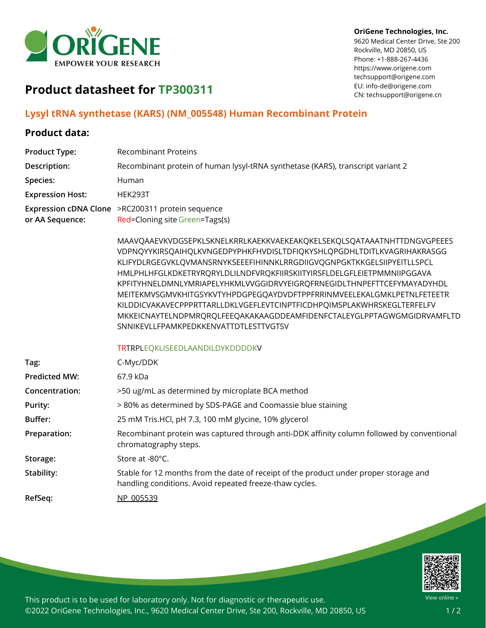

#### **OriGene Technologies, Inc.**

9620 Medical Center Drive, Ste 200 Rockville, MD 20850, US Phone: +1-888-267-4436 https://www.origene.com techsupport@origene.com EU: info-de@origene.com CN: techsupport@origene.cn

# **Product datasheet for TP300311**

### **Lysyl tRNA synthetase (KARS) (NM\_005548) Human Recombinant Protein**

#### **Product data:**

| <b>Product Type:</b>    | <b>Recombinant Proteins</b>                                                                                                                                                                                                                                                                                                                                                                                                                                                                                                                                                                                                                           |
|-------------------------|-------------------------------------------------------------------------------------------------------------------------------------------------------------------------------------------------------------------------------------------------------------------------------------------------------------------------------------------------------------------------------------------------------------------------------------------------------------------------------------------------------------------------------------------------------------------------------------------------------------------------------------------------------|
| Description:            | Recombinant protein of human lysyl-tRNA synthetase (KARS), transcript variant 2                                                                                                                                                                                                                                                                                                                                                                                                                                                                                                                                                                       |
| Species:                | Human                                                                                                                                                                                                                                                                                                                                                                                                                                                                                                                                                                                                                                                 |
| <b>Expression Host:</b> | HEK293T                                                                                                                                                                                                                                                                                                                                                                                                                                                                                                                                                                                                                                               |
| or AA Sequence:         | Expression cDNA Clone >RC200311 protein sequence<br>Red=Cloning site Green=Tags(s)                                                                                                                                                                                                                                                                                                                                                                                                                                                                                                                                                                    |
|                         | MAAVQAAEVKVDGSEPKLSKNELKRRLKAEKKVAEKEAKQKELSEKQLSQATAAATNHTTDNGVGPEEES<br>VDPNQYYKIRSQAIHQLKVNGEDPYPHKFHVDISLTDFIQKYSHLQPGDHLTDITLKVAGRIHAKRASGG<br>KLIFYDLRGEGVKLQVMANSRNYKSEEEFIHINNKLRRGDIIGVQGNPGKTKKGELSIIPYEITLLSPCL<br>HMLPHLHFGLKDKETRYRQRYLDLILNDFVRQKFIIRSKIITYIRSFLDELGFLEIETPMMNIIPGGAVA<br>KPFITYHNELDMNLYMRIAPELYHKMLVVGGIDRVYEIGRQFRNEGIDLTHNPEFTTCEFYMAYADYHDL<br>MEITEKMVSGMVKHITGSYKVTYHPDGPEGQAYDVDFTPPFRRINMVEELEKALGMKLPETNLFETEETR<br>KILDDICVAKAVECPPPRTTARLLDKLVGEFLEVTCINPTFICDHPQIMSPLAKWHRSKEGLTERFELFV<br>MKKEICNAYTELNDPMRQRQLFEEQAKAKAAGDDEAMFIDENFCTALEYGLPPTAGWGMGIDRVAMFLTD<br>SNNIKEVLLFPAMKPEDKKENVATTDTLESTTVGTSV |
|                         | TRTRPLEQKLISEEDLAANDILDYKDDDDKV                                                                                                                                                                                                                                                                                                                                                                                                                                                                                                                                                                                                                       |
| Tag:                    | C-Myc/DDK                                                                                                                                                                                                                                                                                                                                                                                                                                                                                                                                                                                                                                             |
| <b>Predicted MW:</b>    | 67.9 kDa                                                                                                                                                                                                                                                                                                                                                                                                                                                                                                                                                                                                                                              |
| Concentration:          | >50 ug/mL as determined by microplate BCA method                                                                                                                                                                                                                                                                                                                                                                                                                                                                                                                                                                                                      |
| Purity:                 | > 80% as determined by SDS-PAGE and Coomassie blue staining                                                                                                                                                                                                                                                                                                                                                                                                                                                                                                                                                                                           |
| Buffer:                 | 25 mM Tris.HCl, pH 7.3, 100 mM glycine, 10% glycerol                                                                                                                                                                                                                                                                                                                                                                                                                                                                                                                                                                                                  |
| Preparation:            | Recombinant protein was captured through anti-DDK affinity column followed by conventional<br>chromatography steps.                                                                                                                                                                                                                                                                                                                                                                                                                                                                                                                                   |
| Storage:                | Store at -80°C.                                                                                                                                                                                                                                                                                                                                                                                                                                                                                                                                                                                                                                       |
| Stability:              | Stable for 12 months from the date of receipt of the product under proper storage and<br>handling conditions. Avoid repeated freeze-thaw cycles.                                                                                                                                                                                                                                                                                                                                                                                                                                                                                                      |
| RefSeq:                 | NP 005539                                                                                                                                                                                                                                                                                                                                                                                                                                                                                                                                                                                                                                             |



This product is to be used for laboratory only. Not for diagnostic or therapeutic use. ©2022 OriGene Technologies, Inc., 9620 Medical Center Drive, Ste 200, Rockville, MD 20850, US